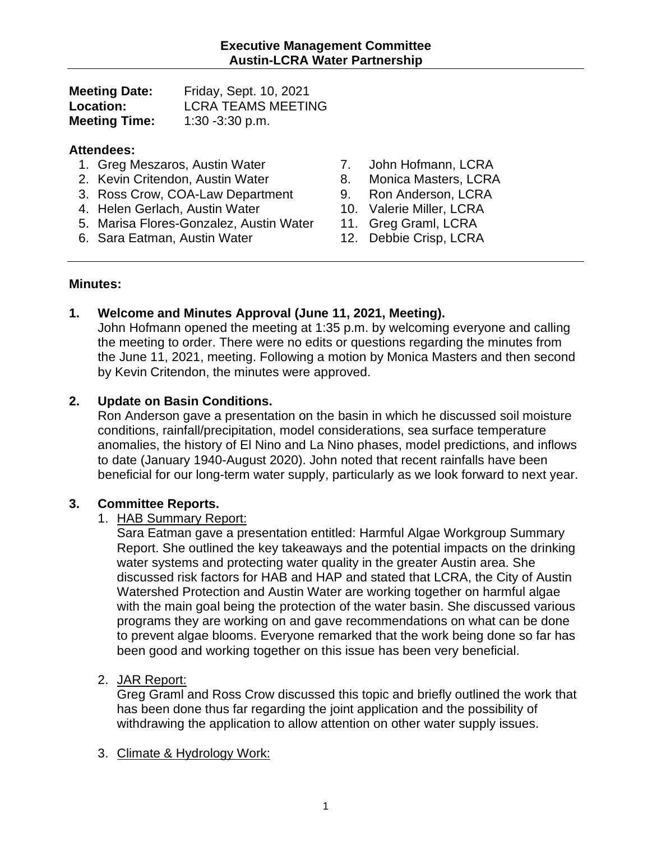| <b>Meeting Date:</b> | Friday, Sept. 10, 2021    |
|----------------------|---------------------------|
| <b>Location:</b>     | <b>LCRA TEAMS MEETING</b> |
| <b>Meeting Time:</b> | $1:30 - 3:30$ p.m.        |

#### **Attendees:**

- 1. Greg Meszaros, Austin Water
- 2. Kevin Critendon, Austin Water
- 3. Ross Crow, COA-Law Department
- 4. Helen Gerlach, Austin Water
- 5. Marisa Flores-Gonzalez, Austin Water
- 6. Sara Eatman, Austin Water
- 7. John Hofmann, LCRA
- 8. Monica Masters, LCRA
- 9. Ron Anderson, LCRA
- 10. Valerie Miller, LCRA
- 11. Greg Graml, LCRA
- 12. Debbie Crisp, LCRA

## **Minutes:**

# **1. Welcome and Minutes Approval (June 11, 2021, Meeting).**

John Hofmann opened the meeting at 1:35 p.m. by welcoming everyone and calling the meeting to order. There were no edits or questions regarding the minutes from the June 11, 2021, meeting. Following a motion by Monica Masters and then second by Kevin Critendon, the minutes were approved.

# **2. Update on Basin Conditions.**

Ron Anderson gave a presentation on the basin in which he discussed soil moisture conditions, rainfall/precipitation, model considerations, sea surface temperature anomalies, the history of El Nino and La Nino phases, model predictions, and inflows to date (January 1940-August 2020). John noted that recent rainfalls have been beneficial for our long-term water supply, particularly as we look forward to next year.

# **3. Committee Reports.**

#### 1. HAB Summary Report:

Sara Eatman gave a presentation entitled: Harmful Algae Workgroup Summary Report. She outlined the key takeaways and the potential impacts on the drinking water systems and protecting water quality in the greater Austin area. She discussed risk factors for HAB and HAP and stated that LCRA, the City of Austin Watershed Protection and Austin Water are working together on harmful algae with the main goal being the protection of the water basin. She discussed various programs they are working on and gave recommendations on what can be done to prevent algae blooms. Everyone remarked that the work being done so far has been good and working together on this issue has been very beneficial.

# 2. JAR Report:

Greg Graml and Ross Crow discussed this topic and briefly outlined the work that has been done thus far regarding the joint application and the possibility of withdrawing the application to allow attention on other water supply issues.

#### 3. Climate & Hydrology Work: